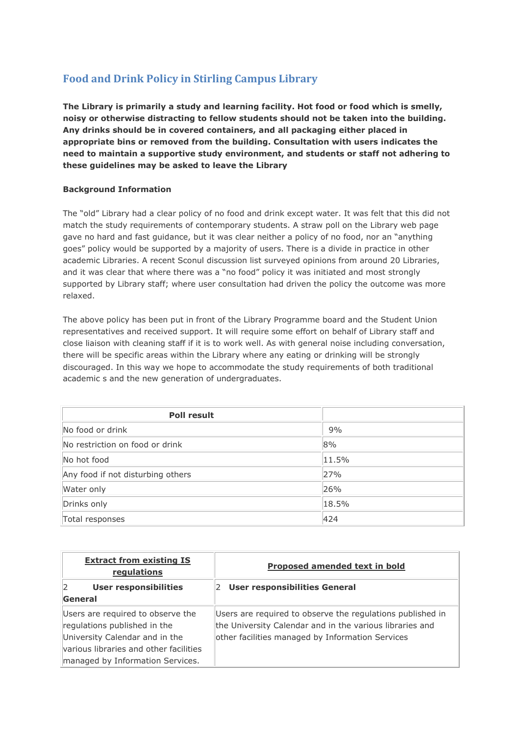## **Food and Drink Policy in Stirling Campus Library**

**The Library is primarily a study and learning facility. Hot food or food which is smelly, noisy or otherwise distracting to fellow students should not be taken into the building. Any drinks should be in covered containers, and all packaging either placed in appropriate bins or removed from the building. Consultation with users indicates the need to maintain a supportive study environment, and students or staff not adhering to these guidelines may be asked to leave the Library**

## **Background Information**

The "old" Library had a clear policy of no food and drink except water. It was felt that this did not match the study requirements of contemporary students. A straw poll on the Library web page gave no hard and fast guidance, but it was clear neither a policy of no food, nor an "anything goes" policy would be supported by a majority of users. There is a divide in practice in other academic Libraries. A recent Sconul discussion list surveyed opinions from around 20 Libraries, and it was clear that where there was a "no food" policy it was initiated and most strongly supported by Library staff; where user consultation had driven the policy the outcome was more relaxed.

The above policy has been put in front of the Library Programme board and the Student Union representatives and received support. It will require some effort on behalf of Library staff and close liaison with cleaning staff if it is to work well. As with general noise including conversation, there will be specific areas within the Library where any eating or drinking will be strongly discouraged. In this way we hope to accommodate the study requirements of both traditional academic s and the new generation of undergraduates.

| <b>Poll result</b>                |       |
|-----------------------------------|-------|
| No food or drink                  | 9%    |
| No restriction on food or drink   | 8%    |
| No hot food                       | 11.5% |
| Any food if not disturbing others | 27%   |
| Water only                        | 26%   |
| Drinks only                       | 18.5% |
| Total responses                   | 424   |

| <b>Extract from existing IS</b><br>regulations                                                                                                                                    | Proposed amended text in bold                                                                                                                                              |
|-----------------------------------------------------------------------------------------------------------------------------------------------------------------------------------|----------------------------------------------------------------------------------------------------------------------------------------------------------------------------|
| <b>User responsibilities</b><br>General                                                                                                                                           | User responsibilities General<br>2                                                                                                                                         |
| Users are required to observe the<br>regulations published in the<br>University Calendar and in the<br>various libraries and other facilities<br>managed by Information Services. | Users are required to observe the regulations published in<br>the University Calendar and in the various libraries and<br>other facilities managed by Information Services |